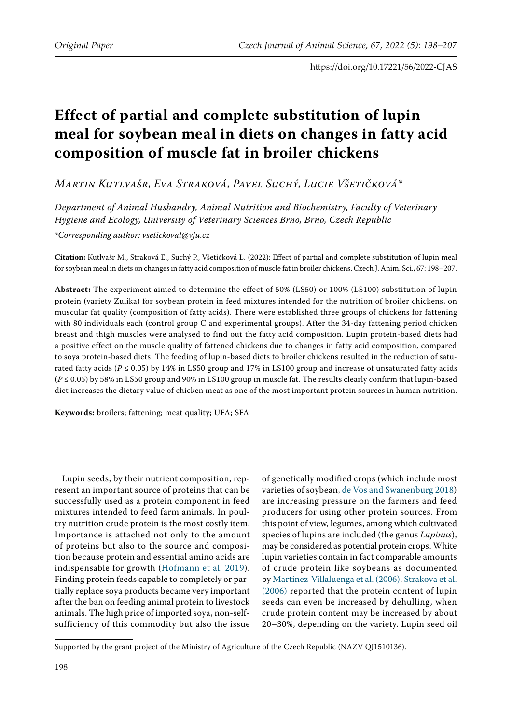# **Effect of partial and complete substitution of lupin meal for soybean meal in diets on changes in fatty acid composition of muscle fat in broiler chickens**

*Martin Kutlvašr, Eva Straková, Pavel Suchý, Lucie Všetičková\**

*Department of Animal Husbandry, Animal Nutrition and Biochemistry, Faculty of Veterinary Hygiene and Ecology, University of Veterinary Sciences Brno, Brno, Czech Republic \*Corresponding author: vsetickoval@vfu.cz*

**Citation:** Kutlvašr M., Straková E., Suchý P., Všetičková L. (2022): Effect of partial and complete substitution of lupin meal for soybean meal in diets on changes in fatty acid composition of muscle fat in broiler chickens. Czech J. Anim. Sci., 67: 198–207.

**Abstract:** The experiment aimed to determine the effect of 50% (LS50) or 100% (LS100) substitution of lupin protein (variety Zulika) for soybean protein in feed mixtures intended for the nutrition of broiler chickens, on muscular fat quality (composition of fatty acids). There were established three groups of chickens for fattening with 80 individuals each (control group C and experimental groups). After the 34-day fattening period chicken breast and thigh muscles were analysed to find out the fatty acid composition. Lupin protein-based diets had a positive effect on the muscle quality of fattened chickens due to changes in fatty acid composition, compared to soya protein-based diets. The feeding of lupin-based diets to broiler chickens resulted in the reduction of saturated fatty acids ( $P \le 0.05$ ) by 14% in LS50 group and 17% in LS100 group and increase of unsaturated fatty acids (*P* ≤ 0.05) by 58% in LS50 group and 90% in LS100 group in muscle fat. The results clearly confirm that lupin-based diet increases the dietary value of chicken meat as one of the most important protein sources in human nutrition.

**Keywords:** broilers; fattening; meat quality; UFA; SFA

Lupin seeds, by their nutrient composition, represent an important source of proteins that can be successfully used as a protein component in feed mixtures intended to feed farm animals. In poultry nutrition crude protein is the most costly item. Importance is attached not only to the amount of proteins but also to the source and composition because protein and essential amino acids are indispensable for growth ([Hofmann et al. 2019](#page-8-3)). Finding protein feeds capable to completely or partially replace soya products became very important after the ban on feeding animal protein to livestock animals. The high price of imported soya, non-selfsufficiency of this commodity but also the issue

of genetically modified crops (which include most varieties of soybean, [de Vos and Swanenburg 2018\)](#page-8-0) are increasing pressure on the farmers and feed producers for using other protein sources. From this point of view, legumes, among which cultivated species of lupins are included (the genus *Lupinus*), may be considered as potential protein crops. White lupin varieties contain in fact comparable amounts of crude protein like soybeans as documented by [Martinez-Villaluenga et al. \(2006\)](#page-8-1). [Strakova et al.](#page-8-2) [\(2006\)](#page-8-2) reported that the protein content of lupin seeds can even be increased by dehulling, when crude protein content may be increased by about 20–30%, depending on the variety. Lupin seed oil

Supported by the grant project of the Ministry of Agriculture of the Czech Republic (NAZV QJ1510136).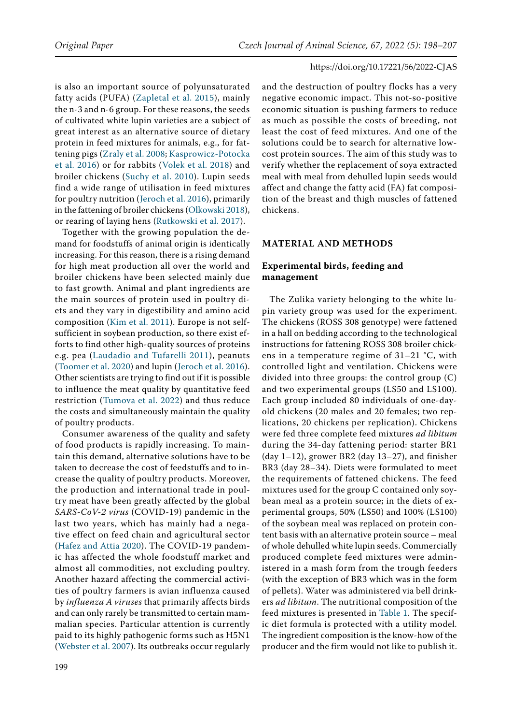is also an important source of polyunsaturated fatty acids (PUFA) ([Zapletal et al. 2015](#page-9-0)), mainly the n-3 and n-6 group. For these reasons, the seeds of cultivated white lupin varieties are a subject of great interest as an alternative source of dietary protein in feed mixtures for animals, e.g., for fattening pigs ([Zraly et al. 2008;](#page-9-1) [Kasprowicz-Potocka](#page-8-4)  [et al. 2016](#page-8-4)) or for rabbits ([Volek et al. 2018\)](#page-9-2) and broiler chickens ([Suchy et al. 2010](#page-8-5)). Lupin seeds find a wide range of utilisation in feed mixtures for poultry nutrition ([Jeroch et al. 2016\)](#page-8-6), primarily in the fattening of broiler chickens [\(Olkowski 2018\)](#page-8-7), or rearing of laying hens ([Rutkowski et al. 2017](#page-8-8)).

Together with the growing population the demand for foodstuffs of animal origin is identically increasing. For this reason, there is a rising demand for high meat production all over the world and broiler chickens have been selected mainly due to fast growth. Animal and plant ingredients are the main sources of protein used in poultry diets and they vary in digestibility and amino acid composition ([Kim et al. 2011](#page-8-9)). Europe is not selfsufficient in soybean production, so there exist efforts to find other high-quality sources of proteins e.g. pea ([Laudadio and Tufarelli 2011](#page-8-10)), peanuts ([Toomer et al. 2020\)](#page-8-11) and lupin ([Jeroch et al. 2016\)](#page-8-6). Other scientists are trying to find out if it is possible to influence the meat quality by quantitative feed restriction ([Tumova et al. 2022\)](#page-9-3) and thus reduce the costs and simultaneously maintain the quality of poultry products.

Consumer awareness of the quality and safety of food products is rapidly increasing. To maintain this demand, alternative solutions have to be taken to decrease the cost of feedstuffs and to increase the quality of poultry products. Moreover, the production and international trade in poultry meat have been greatly affected by the global *SARS-CoV-2 virus* (COVID-19) pandemic in the last two years, which has mainly had a negative effect on feed chain and agricultural sector ([Hafez and Attia 2020](#page-8-12)). The COVID-19 pandemic has affected the whole foodstuff market and almost all commodities, not excluding poultry. Another hazard affecting the commercial activities of poultry farmers is avian influenza caused by *influenza A viruses* that primarily affects birds and can only rarely be transmitted to certain mammalian species. Particular attention is currently paid to its highly pathogenic forms such as H5N1 [\(Webster et al. 2007\)](#page-9-4). Its outbreaks occur regularly

and the destruction of poultry flocks has a very negative economic impact. This not-so-positive economic situation is pushing farmers to reduce as much as possible the costs of breeding, not least the cost of feed mixtures. And one of the solutions could be to search for alternative lowcost protein sources. The aim of this study was to verify whether the replacement of soya extracted meal with meal from dehulled lupin seeds would affect and change the fatty acid (FA) fat composition of the breast and thigh muscles of fattened chickens.

#### **MATERIAL AND METHODS**

# **Experimental birds, feeding and management**

The Zulika variety belonging to the white lupin variety group was used for the experiment. The chickens (ROSS 308 genotype) were fattened in a hall on bedding according to the technological instructions for fattening ROSS 308 broiler chickens in a temperature regime of 31–21 °C, with controlled light and ventilation. Chickens were divided into three groups: the control group (C) and two experimental groups (LS50 and LS100). Each group included 80 individuals of one-dayold chickens (20 males and 20 females; two replications, 20 chickens per replication). Chickens were fed three complete feed mixtures *ad libitum*  during the 34-day fattening period: starter BR1 (day  $1-12$ ), grower BR2 (day  $13-27$ ), and finisher BR3 (day 28–34). Diets were formulated to meet the requirements of fattened chickens. The feed mixtures used for the group C contained only soybean meal as a protein source; in the diets of experimental groups, 50% (LS50) and 100% (LS100) of the soybean meal was replaced on protein content basis with an alternative protein source – meal of whole dehulled white lupin seeds. Commercially produced complete feed mixtures were administered in a mash form from the trough feeders (with the exception of BR3 which was in the form of pellets). Water was administered via bell drinkers *ad libitum*. The nutritional composition of the feed mixtures is presented in Table 1. The specific diet formula is protected with a utility model. The ingredient composition is the know-how of the producer and the firm would not like to publish it.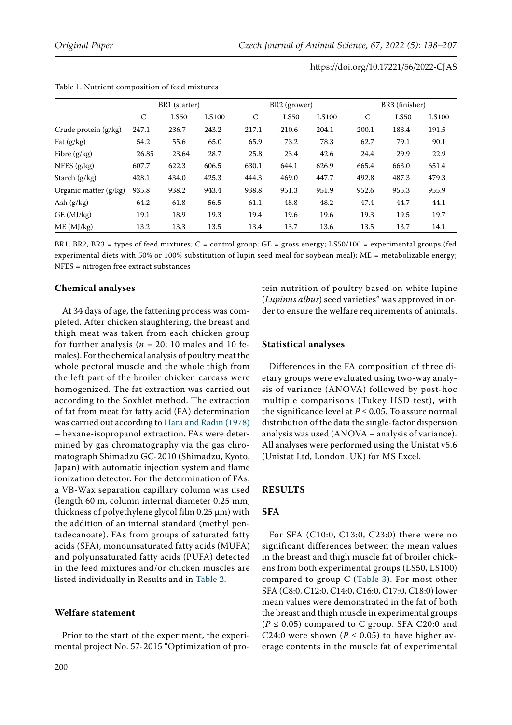|                         | BR1 (starter) |       |              | BR <sub>2</sub> (grower) |       |              | BR3 (finisher) |                  |              |
|-------------------------|---------------|-------|--------------|--------------------------|-------|--------------|----------------|------------------|--------------|
|                         | C             | LS50  | <b>LS100</b> | C                        | LS50  | <b>LS100</b> | C              | LS <sub>50</sub> | <b>LS100</b> |
| Crude protein (g/kg)    | 247.1         | 236.7 | 243.2        | 217.1                    | 210.6 | 204.1        | 200.1          | 183.4            | 191.5        |
| Fat $(g/kg)$            | 54.2          | 55.6  | 65.0         | 65.9                     | 73.2  | 78.3         | 62.7           | 79.1             | 90.1         |
| Fibre $(g/kg)$          | 26.85         | 23.64 | 28.7         | 25.8                     | 23.4  | 42.6         | 24.4           | 29.9             | 22.9         |
| NFES $(g/kg)$           | 607.7         | 622.3 | 606.5        | 630.1                    | 644.1 | 626.9        | 665.4          | 663.0            | 651.4        |
| Starch $(g/kg)$         | 428.1         | 434.0 | 425.3        | 444.3                    | 469.0 | 447.7        | 492.8          | 487.3            | 479.3        |
| Organic matter $(g/kg)$ | 935.8         | 938.2 | 943.4        | 938.8                    | 951.3 | 951.9        | 952.6          | 955.3            | 955.9        |
| Ash $(g/kg)$            | 64.2          | 61.8  | 56.5         | 61.1                     | 48.8  | 48.2         | 47.4           | 44.7             | 44.1         |
| GE (MJ/kg)              | 19.1          | 18.9  | 19.3         | 19.4                     | 19.6  | 19.6         | 19.3           | 19.5             | 19.7         |
| ME (MJ/kg)              | 13.2          | 13.3  | 13.5         | 13.4                     | 13.7  | 13.6         | 13.5           | 13.7             | 14.1         |

| Table 1. Nutrient composition of feed mixtures |  |  |  |
|------------------------------------------------|--|--|--|
|------------------------------------------------|--|--|--|

BR1, BR2, BR3 = types of feed mixtures;  $C =$  control group;  $GE =$  gross energy; LS50/100 = experimental groups (fed experimental diets with 50% or 100% substitution of lupin seed meal for soybean meal); ME = metabolizable energy; NFES = nitrogen free extract substances

# **Chemical analyses**

At 34 days of age, the fattening process was completed. After chicken slaughtering, the breast and thigh meat was taken from each chicken group for further analysis ( $n = 20$ ; 10 males and 10 females). For the chemical analysis of poultry meat the whole pectoral muscle and the whole thigh from the left part of the broiler chicken carcass were homogenized. The fat extraction was carried out according to the Soxhlet method. The extraction of fat from meat for fatty acid (FA) determination was carried out according to [Hara and Radin \(1978\)](#page-8-13)  – hexane-isopropanol extraction. FAs were determined by gas chromatography via the gas chromatograph Shimadzu GC-2010 (Shimadzu, Kyoto, Japan) with automatic injection system and flame ionization detector. For the determination of FAs, a VB-Wax separation capillary column was used (length 60 m, column internal diameter 0.25 mm, thickness of polyethylene glycol film 0.25 µm) with the addition of an internal standard (methyl pentadecanoate). FAs from groups of saturated fatty acids (SFA), monounsaturated fatty acids (MUFA) and polyunsaturated fatty acids (PUFA) detected in the feed mixtures and/or chicken muscles are listed individually in Results and in Table 2.

# **Welfare statement**

Prior to the start of the experiment, the experimental project No. 57-2015 "Optimization of protein nutrition of poultry based on white lupine (*Lupinus albus*) seed varieties" was approved in order to ensure the welfare requirements of animals.

# **Statistical analyses**

Differences in the FA composition of three dietary groups were evaluated using two-way analysis of variance (ANOVA) followed by post-hoc multiple comparisons (Tukey HSD test), with the significance level at  $P \le 0.05$ . To assure normal distribution of the data the single-factor dispersion analysis was used (ANOVA – analysis of variance). All analyses were performed using the Unistat v5.6 (Unistat Ltd, London, UK) for MS Excel.

# **RESULTS**

# **SFA**

For SFA (C10:0, C13:0, C23:0) there were no significant differences between the mean values in the breast and thigh muscle fat of broiler chickens from both experimental groups (LS50, LS100) compared to group C (Table 3). For most other SFA (C8:0, C12:0, C14:0, C16:0, C17:0, C18:0) lower mean values were demonstrated in the fat of both the breast and thigh muscle in experimental groups  $(P \le 0.05)$  compared to C group. SFA C20:0 and C24:0 were shown ( $P \le 0.05$ ) to have higher average contents in the muscle fat of experimental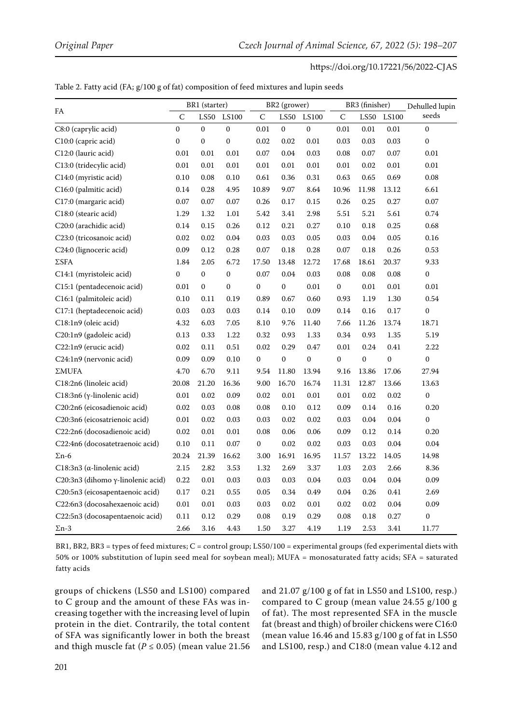|                                     |                  | BR1 (starter)    |                  | BR2 (grower)     |                  |                  | BR3 (finisher)   |                       |              | Dehulled lupin   |
|-------------------------------------|------------------|------------------|------------------|------------------|------------------|------------------|------------------|-----------------------|--------------|------------------|
| FA                                  | $\mathsf C$      | <b>LS50</b>      | LS100            | C                | LS50             | LS100            | C                | $\operatorname{LS50}$ | <b>LS100</b> | seeds            |
| C8:0 (caprylic acid)                | $\mathbf{0}$     | $\mathbf{0}$     | $\boldsymbol{0}$ | 0.01             | $\boldsymbol{0}$ | $\boldsymbol{0}$ | 0.01             | $0.01\,$              | 0.01         | $\mathbf{0}$     |
| C10:0 (capric acid)                 | $\boldsymbol{0}$ | $\boldsymbol{0}$ | $\boldsymbol{0}$ | 0.02             | 0.02             | 0.01             | 0.03             | 0.03                  | 0.03         | $\boldsymbol{0}$ |
| C12:0 (lauric acid)                 | 0.01             | 0.01             | 0.01             | 0.07             | 0.04             | 0.03             | 0.08             | 0.07                  | 0.07         | 0.01             |
| C13:0 (tridecylic acid)             | 0.01             | 0.01             | 0.01             | 0.01             | 0.01             | 0.01             | 0.01             | 0.02                  | 0.01         | 0.01             |
| C14:0 (myristic acid)               | 0.10             | 0.08             | 0.10             | 0.61             | 0.36             | 0.31             | 0.63             | 0.65                  | 0.69         | 0.08             |
| C16:0 (palmitic acid)               | 0.14             | 0.28             | 4.95             | 10.89            | 9.07             | 8.64             | 10.96            | 11.98                 | 13.12        | 6.61             |
| C17:0 (margaric acid)               | 0.07             | 0.07             | 0.07             | 0.26             | 0.17             | 0.15             | 0.26             | 0.25                  | 0.27         | 0.07             |
| C18:0 (stearic acid)                | 1.29             | 1.32             | $1.01\,$         | 5.42             | 3.41             | 2.98             | 5.51             | 5.21                  | 5.61         | 0.74             |
| C20:0 (arachidic acid)              | 0.14             | 0.15             | 0.26             | 0.12             | 0.21             | 0.27             | 0.10             | 0.18                  | 0.25         | 0.68             |
| C23:0 (tricosanoic acid)            | 0.02             | 0.02             | 0.04             | 0.03             | $0.03\,$         | $0.05\,$         | 0.03             | $0.04\,$              | 0.05         | 0.16             |
| C24:0 (lignoceric acid)             | 0.09             | 0.12             | 0.28             | 0.07             | 0.18             | 0.28             | 0.07             | 0.18                  | 0.26         | 0.53             |
| ΣSFA                                | 1.84             | 2.05             | 6.72             | 17.50            | 13.48            | 12.72            | 17.68            | 18.61                 | 20.37        | 9.33             |
| C14:1 (myristoleic acid)            | $\boldsymbol{0}$ | $\boldsymbol{0}$ | $\boldsymbol{0}$ | 0.07             | 0.04             | 0.03             | 0.08             | 0.08                  | 0.08         | 0                |
| C15:1 (pentadecenoic acid)          | 0.01             | $\mathbf{0}$     | $\boldsymbol{0}$ | $\boldsymbol{0}$ | $\boldsymbol{0}$ | 0.01             | $\boldsymbol{0}$ | 0.01                  | 0.01         | 0.01             |
| C16:1 (palmitoleic acid)            | 0.10             | 0.11             | 0.19             | 0.89             | 0.67             | 0.60             | 0.93             | 1.19                  | 1.30         | 0.54             |
| C17:1 (heptadecenoic acid)          | 0.03             | 0.03             | 0.03             | 0.14             | 0.10             | 0.09             | 0.14             | 0.16                  | 0.17         | $\boldsymbol{0}$ |
| C18:1n9 (oleic acid)                | 4.32             | 6.03             | 7.05             | 8.10             | 9.76             | 11.40            | 7.66             | 11.26                 | 13.74        | 18.71            |
| C20:1n9 (gadoleic acid)             | 0.13             | 0.33             | 1.22             | 0.32             | 0.93             | 1.33             | 0.34             | 0.93                  | 1.35         | 5.19             |
| C22:1n9 (erucic acid)               | 0.02             | 0.11             | 0.51             | 0.02             | 0.29             | 0.47             | 0.01             | 0.24                  | 0.41         | 2.22             |
| C24:1n9 (nervonic acid)             | 0.09             | 0.09             | 0.10             | $\overline{0}$   | $\boldsymbol{0}$ | $\mathbf{0}$     | $\boldsymbol{0}$ | $\overline{0}$        | $\mathbf 0$  | $\overline{0}$   |
| $\Sigma MUFA$                       | 4.70             | 6.70             | 9.11             | 9.54             | 11.80            | 13.94            | 9.16             | 13.86                 | 17.06        | 27.94            |
| C18:2n6 (linoleic acid)             | 20.08            | 21.20            | 16.36            | 9.00             | 16.70            | 16.74            | 11.31            | 12.87                 | 13.66        | 13.63            |
| C18:3n6 (γ-linolenic acid)          | $0.01\,$         | 0.02             | 0.09             | 0.02             | $0.01\,$         | $0.01\,$         | $0.01\,$         | 0.02                  | 0.02         | $\boldsymbol{0}$ |
| C20:2n6 (eicosadienoic acid)        | 0.02             | 0.03             | 0.08             | 0.08             | 0.10             | 0.12             | 0.09             | $0.14\,$              | 0.16         | 0.20             |
| C20:3n6 (eicosatrienoic acid)       | $0.01\,$         | 0.02             | 0.03             | 0.03             | 0.02             | 0.02             | 0.03             | 0.04                  | 0.04         | $\boldsymbol{0}$ |
| C22:2n6 (docosadienoic acid)        | 0.02             | $0.01\,$         | $0.01\,$         | 0.08             | 0.06             | 0.06             | 0.09             | $0.12\,$              | 0.14         | 0.20             |
| C22:4n6 (docosatetraenoic acid)     | 0.10             | 0.11             | 0.07             | 0                | 0.02             | 0.02             | 0.03             | 0.03                  | 0.04         | 0.04             |
| $\Sigma$ n-6                        | 20.24            | 21.39            | 16.62            | 3.00             | 16.91            | 16.95            | 11.57            | 13.22                 | 14.05        | 14.98            |
| C18:3n3 ( $\alpha$ -linolenic acid) | 2.15             | 2.82             | 3.53             | 1.32             | 2.69             | 3.37             | 1.03             | 2.03                  | 2.66         | 8.36             |
| C20:3n3 (dihomo γ-linolenic acid)   | 0.22             | 0.01             | 0.03             | 0.03             | 0.03             | 0.04             | 0.03             | 0.04                  | 0.04         | 0.09             |
| C20:5n3 (eicosapentaenoic acid)     | 0.17             | 0.21             | 0.55             | 0.05             | 0.34             | 0.49             | 0.04             | 0.26                  | 0.41         | 2.69             |
| C22:6n3 (docosahexaenoic acid)      | $0.01\,$         | 0.01             | 0.03             | 0.03             | 0.02             | $0.01\,$         | 0.02             | $0.02\,$              | 0.04         | 0.09             |
| C22:5n3 (docosapentaenoic acid)     | 0.11             | $0.12\,$         | 0.29             | 0.08             | 0.19             | 0.29             | 0.08             | 0.18                  | 0.27         | $\boldsymbol{0}$ |
| $\Sigma$ n-3                        | 2.66             | 3.16             | 4.43             | 1.50             | 3.27             | 4.19             | 1.19             | 2.53                  | 3.41         | 11.77            |

BR1, BR2, BR3 = types of feed mixtures;  $C =$  control group; LS50/100 = experimental groups (fed experimental diets with 50% or 100% substitution of lupin seed meal for soybean meal); MUFA = monosaturated fatty acids; SFA = saturated fatty acids

groups of chickens (LS50 and LS100) compared to C group and the amount of these FAs was increasing together with the increasing level of lupin protein in the diet. Contrarily, the total content of SFA was significantly lower in both the breast and thigh muscle fat ( $P \le 0.05$ ) (mean value 21.56

and 21.07 g/100 g of fat in LS50 and LS100, resp.) compared to C group (mean value 24.55 g/100 g of fat). The most represented SFA in the muscle fat (breast and thigh) of broiler chickens were C16:0 (mean value 16.46 and 15.83 g/100 g of fat in LS50 and LS100, resp.) and C18:0 (mean value 4.12 and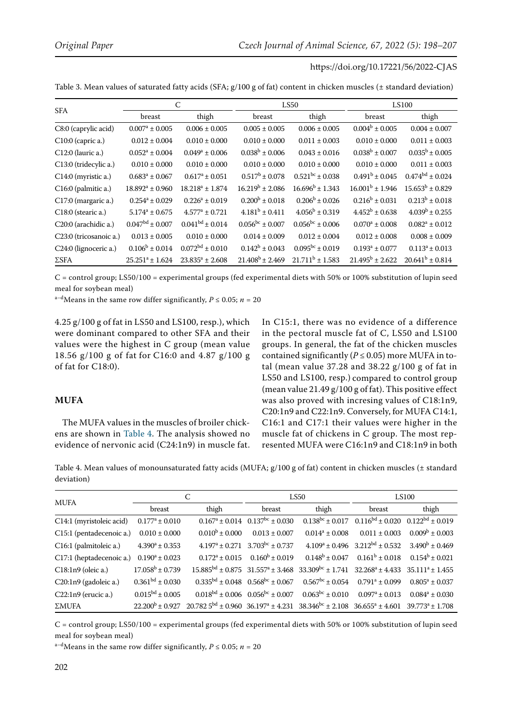Table 3. Mean values of saturated fatty acids (SFA; g/100 g of fat) content in chicken muscles (± standard deviation)

| <b>SFA</b>             |                        | C                    |                        | LS50                      | <b>LS100</b>         |                        |  |
|------------------------|------------------------|----------------------|------------------------|---------------------------|----------------------|------------------------|--|
|                        | breast                 | thigh                | breast                 | thigh                     | breast               | thigh                  |  |
| C8:0 (caprylic acid)   | $0.007^a \pm 0.005$    | $0.006 \pm 0.005$    | $0.005 \pm 0.005$      | $0.006 \pm 0.005$         | $0.004^b \pm 0.005$  | $0.004 \pm 0.007$      |  |
| C10:0 (capric a.)      | $0.012 \pm 0.004$      | $0.010 \pm 0.000$    | $0.010 \pm 0.000$      | $0.011 \pm 0.003$         | $0.010 \pm 0.000$    | $0.011 \pm 0.003$      |  |
| C12:0 (lauric a.)      | $0.052^a \pm 0.004$    | $0.049^a \pm 0.006$  | $0.038^b \pm 0.006$    | $0.043 \pm 0.016$         | $0.038^b \pm 0.007$  | $0.035^b \pm 0.005$    |  |
| C13:0 (tridecylic a.)  | $0.010 \pm 0.000$      | $0.010 \pm 0.000$    | $0.010 \pm 0.000$      | $0.010 \pm 0.000$         | $0.010 \pm 0.000$    | $0.011 \pm 0.003$      |  |
| C14:0 (myristic a.)    | $0.683^a \pm 0.067$    | $0.617^a \pm 0.051$  | $0.517^b \pm 0.078$    | $0.521^{bc} + 0.038$      | $0.491^b \pm 0.045$  | $0.474^{bd} \pm 0.024$ |  |
| C16:0 (palmitic a.)    | $18.892^a \pm 0.960$   | $18.218^a \pm 1.874$ | $16.219^b + 2.086$     | $16.696^b \pm 1.343$      | $16.001b \pm 1.946$  | $15.653^b \pm 0.829$   |  |
| C17:0 (margaric a.)    | $0.254^a \pm 0.029$    | $0.226^a \pm 0.019$  | $0.200^b \pm 0.018$    | $0.206^b + 0.026$         | $0.216^b + 0.031$    | $0.213^b \pm 0.018$    |  |
| C18:0 (stearic a.)     | $5.174^a \pm 0.675$    | $4.577^a \pm 0.721$  | $4.181^b \pm 0.411$    | $4.056^{\rm b} \pm 0.319$ | $4.452^b \pm 0.638$  | $4.039^b \pm 0.255$    |  |
| C20:0 (arachidic a.)   | $0.047^{bd} \pm 0.007$ | $0.041^{bd} + 0.014$ | $0.056^{bc} \pm 0.007$ | $0.056^{bc} \pm 0.006$    | $0.070^a \pm 0.008$  | $0.082^a \pm 0.012$    |  |
| C23:0 (tricosanoic a.) | $0.013 \pm 0.005$      | $0.010 \pm 0.000$    | $0.014 \pm 0.009$      | $0.012 \pm 0.004$         | $0.012 \pm 0.008$    | $0.008 \pm 0.009$      |  |
| C24:0 (lignoceric a.)  | $0.106^b \pm 0.014$    | $0.072bd \pm 0.010$  | $0.142^b \pm 0.043$    | $0.095^{bc} \pm 0.019$    | $0.193^a \pm 0.077$  | $0.113^a \pm 0.013$    |  |
| $\Sigma$ SFA           | $25.251^a \pm 1.624$   | $23.835^a \pm 2.608$ | $21.408^b \pm 2.469$   | $21.711^b \pm 1.583$      | $21.495^b \pm 2.622$ | $20.641^b \pm 0.814$   |  |

C = control group; LS50/100 = experimental groups (fed experimental diets with 50% or 100% substitution of lupin seed meal for soybean meal)

 $^{\mathrm{a-d}}$  Means in the same row differ significantly,  $P$   $\leq$  0.05;  $n$  = 20

4.25 g/100 g of fat in LS50 and LS100, resp.), which were dominant compared to other SFA and their values were the highest in C group (mean value 18.56 g/100 g of fat for C16:0 and 4.87 g/100 g of fat for C18:0).

## **MUFA**

The MUFA values in the muscles of broiler chickens are shown in Table 4. The analysis showed no evidence of nervonic acid (C24:1n9) in muscle fat. In C15:1, there was no evidence of a difference in the pectoral muscle fat of C, LS50 and LS100 groups. In general, the fat of the chicken muscles contained significantly ( $P \le 0.05$ ) more MUFA in total (mean value 37.28 and 38.22 g/100 g of fat in LS50 and LS100, resp.) compared to control group (mean value 21.49 g/100 g of fat). This positive effect was also proved with incresing values of C18:1n9, C20:1n9 and C22:1n9. Conversely, for MUFA C14:1, C16:1 and C17:1 their values were higher in the muscle fat of chickens in C group. The most represented MUFA were C16:1n9 and C18:1n9 in both

Table 4. Mean values of monounsaturated fatty acids (MUFA; g/100 g of fat) content in chicken muscles (± standard deviation)

| <b>MUFA</b>              |                            |                                                                                                     |                                               | LS50                                                                                                           | <b>LS100</b>                                                         |                     |
|--------------------------|----------------------------|-----------------------------------------------------------------------------------------------------|-----------------------------------------------|----------------------------------------------------------------------------------------------------------------|----------------------------------------------------------------------|---------------------|
|                          | breast                     | thigh                                                                                               | breast                                        | thigh                                                                                                          | breast                                                               | thigh               |
| C14:1 (myristoleic acid) | $0.177^a \pm 0.010$        |                                                                                                     | $0.167^a \pm 0.014$ $0.137^{bc} \pm 0.030$    |                                                                                                                | $0.138^{bc} \pm 0.017$ $0.116^{bd} \pm 0.020$ $0.122^{bd} \pm 0.019$ |                     |
| C15:1 (pentadecenoic a.) | $0.010 \pm 0.000$          | $0.010^b \pm 0.000$                                                                                 | $0.013 \pm 0.007$                             | $0.014^a \pm 0.008$                                                                                            | $0.011 \pm 0.003$                                                    | $0.009^b \pm 0.003$ |
| C16:1 (palmitoleic a.)   | $4.390^a \pm 0.353$        |                                                                                                     | $4.197^a \pm 0.271$ $3.703^{bc} \pm 0.737$    |                                                                                                                | $4.109^a \pm 0.496$ $3.212^{bd} \pm 0.532$                           | $3.490^b \pm 0.469$ |
| C17:1 (heptadecenoic a.) | $0.190^a \pm 0.023$        | $0.172^a \pm 0.015$                                                                                 | $0.160^b \pm 0.019$                           |                                                                                                                | $0.148^b \pm 0.047$ $0.161^b \pm 0.018$                              | $0.154^b \pm 0.021$ |
| C18:1n9 (oleic a.)       | $17.058^b \pm 0.739$       |                                                                                                     |                                               | $15.885^{bd} \pm 0.875$ $31.557^a \pm 3.468$ $33.309^{bc} \pm 1.741$ $32.268^a \pm 4.433$ $35.111^a \pm 1.455$ |                                                                      |                     |
| C20:1n9 (gadoleic a.)    | $0.361bd \pm 0.030$        |                                                                                                     | $0.335bd \pm 0.048$ $0.568bc \pm 0.067$       | $0.567^{bc} \pm 0.054$                                                                                         | $0.791^a \pm 0.099$                                                  | $0.805^a \pm 0.037$ |
| $C22:1n9$ (erucic a.)    | $0.015^{bd} \pm 0.005$     |                                                                                                     | $0.018^{bd} \pm 0.006$ $0.056^{bc} \pm 0.007$ | $0.063^{bc} \pm 0.010$                                                                                         | $0.097^a \pm 0.013$                                                  | $0.084^a \pm 0.030$ |
| $\Sigma MUFA$            | $22.200^{\rm b} \pm 0.927$ | $20.7825^{bd} \pm 0.96036.197^a \pm 4.23138.346^{bc} \pm 2.10836.655^a \pm 4.60139.773^a \pm 1.708$ |                                               |                                                                                                                |                                                                      |                     |

C = control group; LS50/100 = experimental groups (fed experimental diets with 50% or 100% substitution of lupin seed meal for soybean meal)

<sup>a-d</sup>Means in the same row differ significantly,  $P \le 0.05$ ;  $n = 20$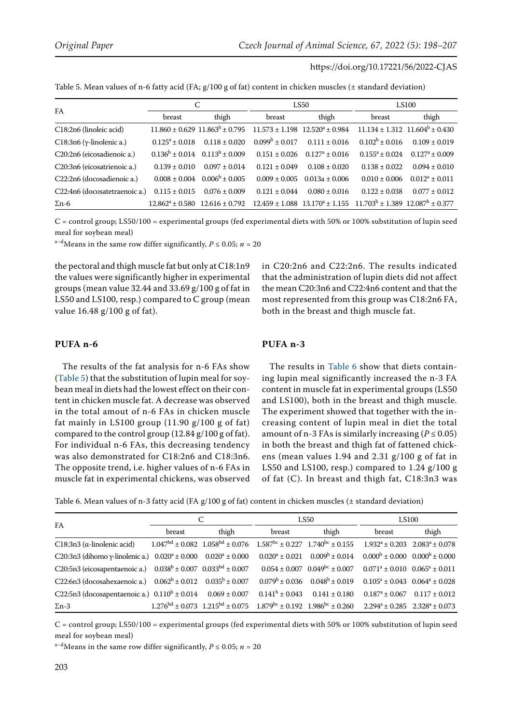| Table 5. Mean values of n-6 fatty acid (FA; $g/100$ g of fat) content in chicken muscles ( $\pm$ standard deviation) |  |
|----------------------------------------------------------------------------------------------------------------------|--|
|----------------------------------------------------------------------------------------------------------------------|--|

| FA                                | C                    |                                         |                     | LS50                                    | <b>LS100</b>                              |                                         |  |
|-----------------------------------|----------------------|-----------------------------------------|---------------------|-----------------------------------------|-------------------------------------------|-----------------------------------------|--|
|                                   | breast               | thigh                                   | breast              | thigh                                   | breast                                    | thigh                                   |  |
| C18:2n6 (linoleic acid)           |                      | $11.860 \pm 0.629$ $11.863^b \pm 0.795$ |                     | $11.573 \pm 1.198$ $12.520^a \pm 0.984$ |                                           | $11.134 \pm 1.312$ $11.604^b \pm 0.430$ |  |
| C18:3n6 ( $\gamma$ -linolenic a.) | $0.125^a \pm 0.018$  | $0.118 \pm 0.020$                       | $0.099^b \pm 0.017$ | $0.111 \pm 0.016$                       | $0.102^b \pm 0.016$                       | $0.109 \pm 0.019$                       |  |
| C20:2n6 (eicosadienoic a.)        |                      | $0.136^b \pm 0.014$ $0.113^b \pm 0.009$ | $0.151 + 0.026$     | $0.127^a \pm 0.016$                     | $0.155^a + 0.024$                         | $0.127^a \pm 0.009$                     |  |
| C20:3n6 (eicosatrienoic a.)       | $0.139 + 0.010$      | $0.097 \pm 0.014$                       | $0.121 + 0.049$     | $0.108 + 0.020$                         | $0.138 \pm 0.022$                         | $0.094 \pm 0.010$                       |  |
| C22:2n6 (docosadienoic a.)        | $0.008 \pm 0.004$    | $0.006^b \pm 0.005$                     | $0.009 \pm 0.005$   | $0.013a \pm 0.006$                      | $0.010 \pm 0.006$                         | $0.012^a \pm 0.011$                     |  |
| C22:4n6 (docosatetraenoic a.)     | $0.115 \pm 0.015$    | $0.076 \pm 0.009$                       | $0.121 + 0.044$     | $0.080 \pm 0.016$                       | $0.122 \pm 0.038$                         | $0.077 \pm 0.012$                       |  |
| $\Sigma$ n-6                      | $12.862^a \pm 0.580$ | $12.616 \pm 0.792$                      |                     | $12.459 \pm 1.088$ $13.170^a \pm 1.155$ | $11.703^b \pm 1.389$ $12.087^b \pm 0.377$ |                                         |  |

C = control group; LS50/100 = experimental groups (fed experimental diets with 50% or 100% substitution of lupin seed meal for soybean meal)

<sup>a–d</sup>Means in the same row differ significantly,  $P \le 0.05$ ;  $n = 20$ 

the pectoral and thigh muscle fat but only at C18:1n9 the values were significantly higher in experimental groups (mean value 32.44 and 33.69 g/100 g of fat in LS50 and LS100, resp.) compared to C group (mean value 16.48 g/100 g of fat).

## **PUFA n-6**

The results of the fat analysis for n-6 FAs show (Table 5) that the substitution of lupin meal for soybean meal in diets had the lowest effect on their content in chicken muscle fat. A decrease was observed in the total amout of n-6 FAs in chicken muscle fat mainly in LS100 group  $(11.90 \text{ g}/100 \text{ g of fat})$ compared to the control group (12.84 g/100 g of fat). For individual n-6 FAs, this decreasing tendency was also demonstrated for C18:2n6 and C18:3n6. The opposite trend, i.e. higher values of n-6 FAs in muscle fat in experimental chickens, was observed

# **PUFA n-3**

The results in Table 6 show that diets containing lupin meal significantly increased the n-3 FA content in muscle fat in experimental groups (LS50 and LS100), both in the breast and thigh muscle. The experiment showed that together with the increasing content of lupin meal in diet the total amount of n-3 FAs is similarly increasing ( $P \le 0.05$ ) in both the breast and thigh fat of fattened chickens (mean values 1.94 and 2.31 g/100 g of fat in LS50 and LS100, resp.) compared to 1.24 g/100 g of fat (C). In breast and thigh fat, C18:3n3 was

in C20:2n6 and C22:2n6. The results indicated that the administration of lupin diets did not affect the mean C20:3n6 and C22:4n6 content and that the most represented from this group was C18:2n6 FA,

both in the breast and thigh muscle fat.

Table 6. Mean values of n-3 fatty acid (FA g/100 g of fat) content in chicken muscles (± standard deviation)

| FA                                                                       |        |       |        | LS50                                                                                                                                    | <b>LS100</b>                                        |       |  |
|--------------------------------------------------------------------------|--------|-------|--------|-----------------------------------------------------------------------------------------------------------------------------------------|-----------------------------------------------------|-------|--|
|                                                                          | breast | thigh | breast | thigh                                                                                                                                   | breast                                              | thigh |  |
| C18:3n3 ( $\alpha$ -linolenic acid)                                      |        |       |        | $1.047^{bd} \pm 0.082$ $1.058^{bd} \pm 0.076$ $1.587^{bc} \pm 0.227$ $1.740^{bc} \pm 0.155$ $1.932^{a} \pm 0.203$ $2.083^{a} \pm 0.078$ |                                                     |       |  |
| C20:3n3 (dihomo y-linolenic a.) $0.020^a \pm 0.000$ $0.020^a \pm 0.000$  |        |       |        | $0.020^a \pm 0.021$ $0.009^b \pm 0.014$                                                                                                 | $0.000^{\rm b} \pm 0.000$ $0.000^{\rm b} \pm 0.000$ |       |  |
| C20:5n3 (eicosapentaenoic a.) $0.038^b \pm 0.007$ $0.033^{bd} \pm 0.007$ |        |       |        | $0.054 \pm 0.007$ $0.049^{bc} \pm 0.007$ $0.071^a \pm 0.010$ $0.065^a \pm 0.011$                                                        |                                                     |       |  |
| C22:6n3 (docosahexaenoic a.) $0.062^b \pm 0.012$ $0.035^b \pm 0.007$     |        |       |        | $0.079^b \pm 0.036$ $0.048^b \pm 0.019$                                                                                                 | $0.105^a \pm 0.043$ $0.064^a \pm 0.028$             |       |  |
| C22:5n3 (docosapentaenoic a.) $0.110^b \pm 0.014$ $0.069 \pm 0.007$      |        |       |        | $0.141^b \pm 0.043$ $0.141 \pm 0.180$                                                                                                   | $0.187^a \pm 0.067$ $0.117 \pm 0.012$               |       |  |
| $\Sigma$ n-3                                                             |        |       |        | $1.276^{bd} \pm 0.073$ $1.215^{bd} \pm 0.075$ $1.879^{bc} \pm 0.192$ $1.986^{bc} \pm 0.260$ $2.294^{a} \pm 0.285$ $2.328^{a} \pm 0.073$ |                                                     |       |  |

C = control group; LS50/100 = experimental groups (fed experimental diets with 50% or 100% substitution of lupin seed meal for soybean meal)

<sup>a-d</sup>Means in the same row differ significantly,  $P \le 0.05$ ;  $n = 20$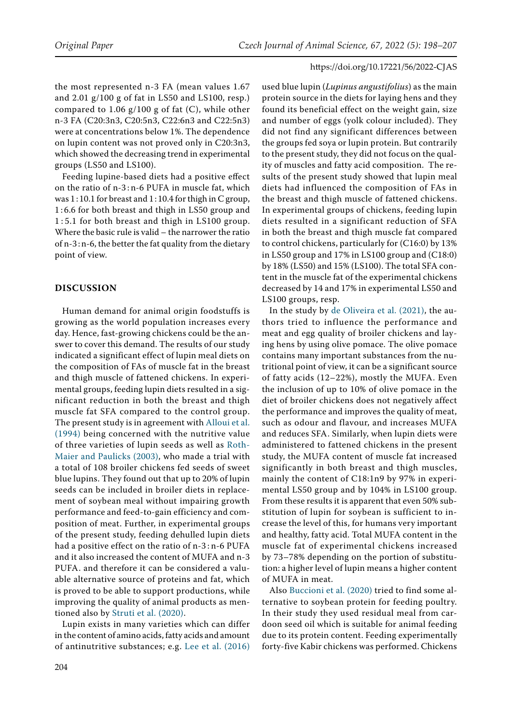the most represented n-3 FA (mean values 1.67 and 2.01 g/100 g of fat in LS50 and LS100, resp.) compared to 1.06  $g/100 g$  of fat (C), while other n-3 FA (C20:3n3, C20:5n3, C22:6n3 and C22:5n3) were at concentrations below 1%. The dependence on lupin content was not proved only in C20:3n3, which showed the decreasing trend in experimental groups (LS50 and LS100).

Feeding lupine-based diets had a positive effect on the ratio of n-3 : n-6 PUFA in muscle fat, which was 1 : 10.1 for breast and 1 : 10.4 for thigh in C group, 1 : 6.6 for both breast and thigh in LS50 group and 1 : 5.1 for both breast and thigh in LS100 group. Where the basic rule is valid – the narrower the ratio of n-3 : n-6, the better the fat quality from the dietary point of view.

# **DISCUSSION**

Human demand for animal origin foodstuffs is growing as the world population increases every day. Hence, fast-growing chickens could be the answer to cover this demand. The results of our study indicated a significant effect of lupin meal diets on the composition of FAs of muscle fat in the breast and thigh muscle of fattened chickens. In experimental groups, feeding lupin diets resulted in a significant reduction in both the breast and thigh muscle fat SFA compared to the control group. The present study is in agreement with [Alloui et al.](#page-8-14)  [\(1994\)](#page-8-14) being concerned with the nutritive value of three varieties of lupin seeds as well as [Roth-](#page-8-15)[Maier and Paulicks \(2003\)](#page-8-15), who made a trial with a total of 108 broiler chickens fed seeds of sweet blue lupins. They found out that up to 20% of lupin seeds can be included in broiler diets in replacement of soybean meal without impairing growth performance and feed-to-gain efficiency and composition of meat. Further, in experimental groups of the present study, feeding dehulled lupin diets had a positive effect on the ratio of n-3 : n-6 PUFA and it also increased the content of MUFA and n-3 PUFA. and therefore it can be considered a valuable alternative source of proteins and fat, which is proved to be able to support productions, while improving the quality of animal products as mentioned also by [Struti et al. \(2020\)](#page-8-16).

Lupin exists in many varieties which can differ in the content of amino acids, fatty acids and amount of antinutritive substances; e.g. [Lee et al. \(2016\)](#page-8-17) 

used blue lupin (*Lupinus angustifolius*) as the main protein source in the diets for laying hens and they found its beneficial effect on the weight gain, size and number of eggs (yolk colour included). They did not find any significant differences between the groups fed soya or lupin protein. But contrarily to the present study, they did not focus on the quality of muscles and fatty acid composition. The results of the present study showed that lupin meal diets had influenced the composition of FAs in the breast and thigh muscle of fattened chickens. In experimental groups of chickens, feeding lupin diets resulted in a significant reduction of SFA in both the breast and thigh muscle fat compared to control chickens, particularly for (C16:0) by 13% in LS50 group and 17% in LS100 group and (C18:0) by 18% (LS50) and 15% (LS100). The total SFA content in the muscle fat of the experimental chickens decreased by 14 and 17% in experimental LS50 and LS100 groups, resp.

In the study by [de Oliveira et al. \(2021\),](#page-8-18) the authors tried to influence the performance and meat and egg quality of broiler chickens and laying hens by using olive pomace. The olive pomace contains many important substances from the nutritional point of view, it can be a significant source of fatty acids (12–22%), mostly the MUFA. Even the inclusion of up to 10% of olive pomace in the diet of broiler chickens does not negatively affect the performance and improves the quality of meat, such as odour and flavour, and increases MUFA and reduces SFA. Similarly, when lupin diets were administered to fattened chickens in the present study, the MUFA content of muscle fat increased significantly in both breast and thigh muscles, mainly the content of C18:1n9 by 97% in experimental LS50 group and by 104% in LS100 group. From these results it is apparent that even 50% substitution of lupin for soybean is sufficient to increase the level of this, for humans very important and healthy, fatty acid. Total MUFA content in the muscle fat of experimental chickens increased by 73–78% depending on the portion of substitution: a higher level of lupin means a higher content of MUFA in meat.

Also [Buccioni et al. \(2020\)](#page-8-19) tried to find some alternative to soybean protein for feeding poultry. In their study they used residual meal from cardoon seed oil which is suitable for animal feeding due to its protein content. Feeding experimentally forty-five Kabir chickens was performed. Chickens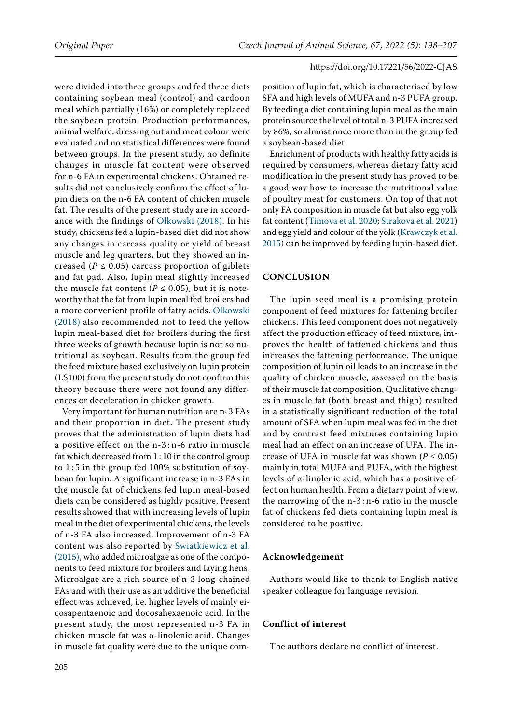were divided into three groups and fed three diets containing soybean meal (control) and cardoon meal which partially (16%) or completely replaced the soybean protein. Production performances, animal welfare, dressing out and meat colour were evaluated and no statistical differences were found between groups. In the present study, no definite changes in muscle fat content were observed for n-6 FA in experimental chickens. Obtained results did not conclusively confirm the effect of lupin diets on the n-6 FA content of chicken muscle fat. The results of the present study are in accordance with the findings of [Olkowski \(2018\).](#page-8-7) In his study, chickens fed a lupin-based diet did not show any changes in carcass quality or yield of breast muscle and leg quarters, but they showed an increased ( $P \le 0.05$ ) carcass proportion of giblets and fat pad. Also, lupin meal slightly increased the muscle fat content ( $P \le 0.05$ ), but it is noteworthy that the fat from lupin meal fed broilers had a more convenient profile of fatty acids. [Olkowski](#page-8-7)  [\(2018\)](#page-8-7) also recommended not to feed the yellow lupin meal-based diet for broilers during the first three weeks of growth because lupin is not so nutritional as soybean. Results from the group fed the feed mixture based exclusively on lupin protein (LS100) from the present study do not confirm this theory because there were not found any differences or deceleration in chicken growth.

Very important for human nutrition are n-3 FAs and their proportion in diet. The present study proves that the administration of lupin diets had a positive effect on the n-3 : n-6 ratio in muscle fat which decreased from 1 : 10 in the control group to  $1:5$  in the group fed 100% substitution of soybean for lupin. A significant increase in n-3 FAs in the muscle fat of chickens fed lupin meal-based diets can be considered as highly positive. Present results showed that with increasing levels of lupin meal in the diet of experimental chickens, the levels of n-3 FA also increased. Improvement of n-3 FA content was also reported by [Swiatkiewicz et al.](#page-8-20)  [\(2015\)](#page-8-20), who added microalgae as one of the components to feed mixture for broilers and laying hens. Microalgae are a rich source of n-3 long-chained FAs and with their use as an additive the beneficial effect was achieved, i.e. higher levels of mainly eicosapentaenoic and docosahexaenoic acid. In the present study, the most represented n-3 FA in chicken muscle fat was α-linolenic acid. Changes in muscle fat quality were due to the unique composition of lupin fat, which is characterised by low SFA and high levels of MUFA and n-3 PUFA group. By feeding a diet containing lupin meal as the main protein source the level of total n-3 PUFA increased by 86%, so almost once more than in the group fed a soybean-based diet.

Enrichment of products with healthy fatty acids is required by consumers, whereas dietary fatty acid modification in the present study has proved to be a good way how to increase the nutritional value of poultry meat for customers. On top of that not only FA composition in muscle fat but also egg yolk fat content ([Timova et al. 2020;](#page-8-21) [Strakova et al. 2021](#page-8-22)) and egg yield and colour of the yolk [\(Krawczyk et al.](#page-8-23) [2015\)](#page-8-23) can be improved by feeding lupin-based diet.

# **CONCLUSION**

The lupin seed meal is a promising protein component of feed mixtures for fattening broiler chickens. This feed component does not negatively affect the production efficacy of feed mixture, improves the health of fattened chickens and thus increases the fattening performance. The unique composition of lupin oil leads to an increase in the quality of chicken muscle, assessed on the basis of their muscle fat composition. Qualitative changes in muscle fat (both breast and thigh) resulted in a statistically significant reduction of the total amount of SFA when lupin meal was fed in the diet and by contrast feed mixtures containing lupin meal had an effect on an increase of UFA. The increase of UFA in muscle fat was shown ( $P \le 0.05$ ) mainly in total MUFA and PUFA, with the highest levels of α-linolenic acid, which has a positive effect on human health. From a dietary point of view, the narrowing of the n-3 : n-6 ratio in the muscle fat of chickens fed diets containing lupin meal is considered to be positive.

# **Acknowledgement**

Authors would like to thank to English native speaker colleague for language revision.

# **Conflict of interest**

The authors declare no conflict of interest.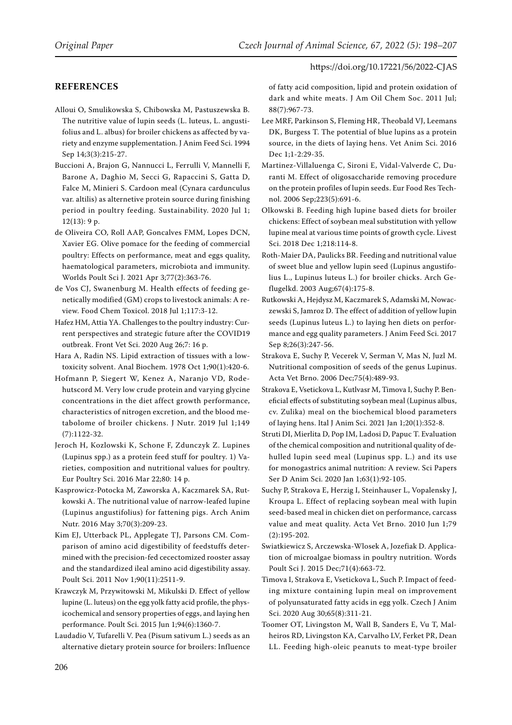# **References**

<span id="page-8-14"></span>Alloui O, Smulikowska S, Chibowska M, Pastuszewska B. The nutritive value of lupin seeds (L. luteus, L. angustifolius and L. albus) for broiler chickens as affected by variety and enzyme supplementation. J Anim Feed Sci. 1994 Sep 14;3(3):215-27.

<span id="page-8-19"></span>Buccioni A, Brajon G, Nannucci L, Ferrulli V, Mannelli F, Barone A, Daghio M, Secci G, Rapaccini S, Gatta D, Falce M, Minieri S. Cardoon meal (Cynara cardunculus var. altilis) as alternetive protein source during finishing period in poultry feeding. Sustainability. 2020 Jul 1; 12(13): 9 p.

<span id="page-8-18"></span>de Oliveira CO, Roll AAP, Goncalves FMM, Lopes DCN, Xavier EG. Olive pomace for the feeding of commercial poultry: Effects on performance, meat and eggs quality, haematological parameters, microbiota and immunity. Worlds Poult Sci J. 2021 Apr 3;77(2):363-76.

<span id="page-8-0"></span>de Vos CJ, Swanenburg M. Health effects of feeding genetically modified (GM) crops to livestock animals: A review. Food Chem Toxicol. 2018 Jul 1;117:3-12.

<span id="page-8-12"></span>Hafez HM, Attia YA. Challenges to the poultry industry: Current perspectives and strategic future after the COVID19 outbreak. Front Vet Sci. 2020 Aug 26;7: 16 p.

<span id="page-8-13"></span>Hara A, Radin NS. Lipid extraction of tissues with a lowtoxicity solvent. Anal Biochem. 1978 Oct 1;90(1):420-6.

<span id="page-8-3"></span>Hofmann P, Siegert W, Kenez A, Naranjo VD, Rodehutscord M. Very low crude protein and varying glycine concentrations in the diet affect growth performance, characteristics of nitrogen excretion, and the blood metabolome of broiler chickens. J Nutr. 2019 Jul 1;149 (7):1122-32.

<span id="page-8-6"></span>Jeroch H, Kozlowski K, Schone F, Zdunczyk Z. Lupines (Lupinus spp.) as a protein feed stuff for poultry. 1) Varieties, composition and nutritional values for poultry. Eur Poultry Sci. 2016 Mar 22;80: 14 p.

<span id="page-8-4"></span>Kasprowicz-Potocka M, Zaworska A, Kaczmarek SA, Rutkowski A. The nutritional value of narrow-leafed lupine (Lupinus angustifolius) for fattening pigs. Arch Anim Nutr. 2016 May 3;70(3):209-23.

<span id="page-8-9"></span>Kim EJ, Utterback PL, Applegate TJ, Parsons CM. Comparison of amino acid digestibility of feedstuffs determined with the precision-fed cecectomized rooster assay and the standardized ileal amino acid digestibility assay. Poult Sci. 2011 Nov 1;90(11):2511-9.

<span id="page-8-23"></span>Krawczyk M, Przywitowski M, Mikulski D. Effect of yellow lupine (L. luteus) on the egg yolk fatty acid profile, the physicochemical and sensory properties of eggs, and laying hen performance. Poult Sci. 2015 Jun 1;94(6):1360-7.

<span id="page-8-10"></span>Laudadio V, Tufarelli V. Pea (Pisum sativum L.) seeds as an alternative dietary protein source for broilers: Influence of fatty acid composition, lipid and protein oxidation of dark and white meats. J Am Oil Chem Soc. 2011 Jul; 88(7):967-73.

<span id="page-8-17"></span>Lee MRF, Parkinson S, Fleming HR, Theobald VJ, Leemans DK, Burgess T. The potential of blue lupins as a protein source, in the diets of laying hens. Vet Anim Sci. 2016 Dec 1;1-2:29-35.

<span id="page-8-1"></span>Martinez-Villaluenga C, Sironi E, Vidal-Valverde C, Duranti M. Effect of oligosaccharide removing procedure on the protein profiles of lupin seeds. Eur Food Res Technol. 2006 Sep;223(5):691-6.

<span id="page-8-7"></span>Olkowski B. Feeding high lupine based diets for broiler chickens: Effect of soybean meal substitution with yellow lupine meal at various time points of growth cycle. Livest Sci. 2018 Dec 1;218:114-8.

<span id="page-8-15"></span>Roth-Maier DA, Paulicks BR. Feeding and nutritional value of sweet blue and yellow lupin seed (Lupinus angustifolius L., Lupinus luteus L.) for broiler chicks. Arch Geflugelkd. 2003 Aug;67(4):175-8.

<span id="page-8-8"></span>Rutkowski A, Hejdysz M, Kaczmarek S, Adamski M, Nowaczewski S, Jamroz D. The effect of addition of yellow lupin seeds (Lupinus luteus L.) to laying hen diets on performance and egg quality parameters. J Anim Feed Sci. 2017 Sep 8;26(3):247-56.

<span id="page-8-2"></span>Strakova E, Suchy P, Vecerek V, Serman V, Mas N, Juzl M. Nutritional composition of seeds of the genus Lupinus. Acta Vet Brno. 2006 Dec;75(4):489-93.

<span id="page-8-22"></span>Strakova E, Vsetickova L, Kutlvasr M, Timova I, Suchy P. Beneficial effects of substituting soybean meal (Lupinus albus, cv. Zulika) meal on the biochemical blood parameters of laying hens. Ital J Anim Sci. 2021 Jan 1;20(1):352-8.

<span id="page-8-16"></span>Struti DI, Mierlita D, Pop IM, Ladosi D, Papuc T. Evaluation of the chemical composition and nutritional quality of dehulled lupin seed meal (Lupinus spp. L.) and its use for monogastrics animal nutrition: A review. Sci Papers Ser D Anim Sci. 2020 Jan 1;63(1):92-105.

<span id="page-8-5"></span>Suchy P, Strakova E, Herzig I, Steinhauser L, Vopalensky J, Kroupa L. Effect of replacing soybean meal with lupin seed-based meal in chicken diet on performance, carcass value and meat quality. Acta Vet Brno. 2010 Jun 1;79 (2):195-202.

<span id="page-8-20"></span>Swiatkiewicz S, Arczewska-Wlosek A, Jozefiak D. Application of microalgae biomass in poultry nutrition. Words Poult Sci J. 2015 Dec;71(4):663-72.

<span id="page-8-21"></span>Timova I, Strakova E, Vsetickova L, Such P. Impact of feeding mixture containing lupin meal on improvement of polyunsaturated fatty acids in egg yolk. Czech J Anim Sci. 2020 Aug 30;65(8):311-21.

<span id="page-8-11"></span>Toomer OT, Livingston M, Wall B, Sanders E, Vu T, Malheiros RD, Livingston KA, Carvalho LV, Ferket PR, Dean LL. Feeding high-oleic peanuts to meat-type broiler